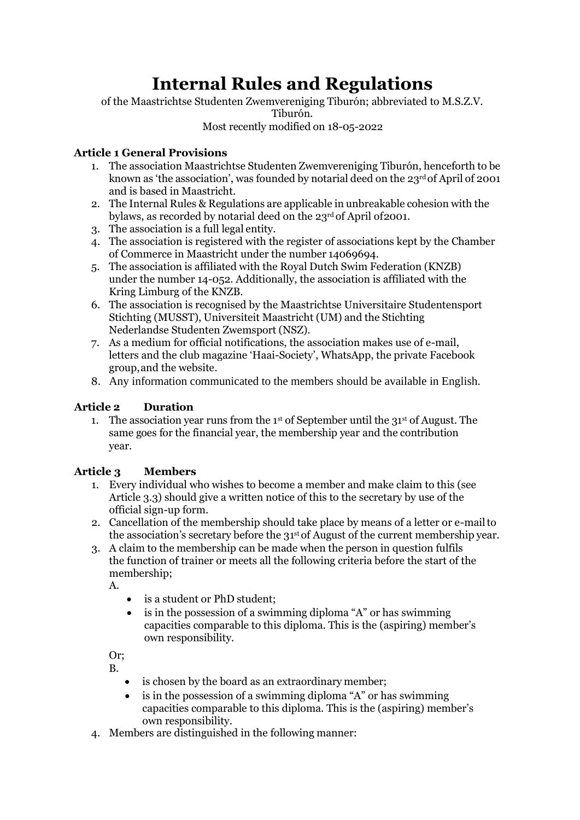# **Internal Rules and Regulations**

of the Maastrichtse Studenten Zwemvereniging Tiburón; abbreviated to M.S.Z.V. Tiburón. Most recently modified on 18-05-2022

#### **Article 1 General Provisions**

- 1. The association Maastrichtse Studenten Zwemvereniging Tiburón, henceforth to be known as 'the association', was founded by notarial deed on the 23rd of April of 2001 and is based in Maastricht.
- 2. The Internal Rules & Regulations are applicable in unbreakable cohesion with the bylaws, as recorded by notarial deed on the 23<sup>rd</sup> of April of 2001.
- 3. The association is a full legal entity.
- 4. The association is registered with the register of associations kept by the Chamber of Commerce in Maastricht under the number 14069694.
- 5. The association is affiliated with the Royal Dutch Swim Federation (KNZB) under the number 14-052. Additionally, the association is affiliated with the Kring Limburg of the KNZB.
- 6. The association is recognised by the Maastrichtse Universitaire Studentensport Stichting (MUSST), Universiteit Maastricht (UM) and the Stichting Nederlandse Studenten Zwemsport (NSZ).
- 7. As a medium for official notifications, the association makes use of e-mail, letters and the club magazine 'Haai-Society', WhatsApp, the private Facebook group,and the website.
- 8. Any information communicated to the members should be available in English.

# **Article 2 Duration**

1. The association year runs from the  $1<sup>st</sup>$  of September until the  $31<sup>st</sup>$  of August. The same goes for the financial year, the membership year and the contribution year.

# **Article 3 Members**

- 1. Every individual who wishes to become a member and make claim to this (see Article 3.3) should give a written notice of this to the secretary by use of the official sign-up form.
- 2. Cancellation of the membership should take place by means of a letter or e-mailto the association's secretary before the 31 st of August of the current membership year.
- 3. A claim to the membership can be made when the person in question fulfils the function of trainer or meets all the following criteria before the start of the membership;

A.

- is a student or PhD student;
- is in the possession of a swimming diploma "A" or has swimming capacities comparable to this diploma. This is the (aspiring) member's own responsibility.

Or; B.

- is chosen by the board as an extraordinary member;
- is in the possession of a swimming diploma "A" or has swimming capacities comparable to this diploma. This is the (aspiring) member's own responsibility.
- 4. Members are distinguished in the following manner: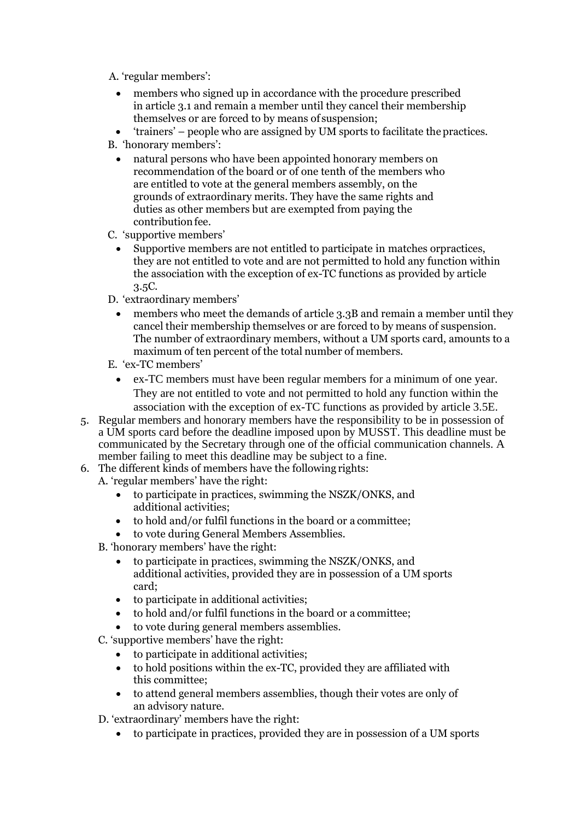A. 'regular members':

- members who signed up in accordance with the procedure prescribed in article 3.1 and remain a member until they cancel their membership themselves or are forced to by means of suspension;
- 'trainers' people who are assigned by UM sports to facilitate the practices.
- B. 'honorary members':
	- natural persons who have been appointed honorary members on recommendation of the board or of one tenth of the members who are entitled to vote at the general members assembly, on the grounds of extraordinary merits. They have the same rights and duties as other members but are exempted from paying the contributionfee.
- C. 'supportive members'
	- Supportive members are not entitled to participate in matches orpractices, they are not entitled to vote and are not permitted to hold any function within the association with the exception of ex-TC functions as provided by article 3.5C.
- D. 'extraordinary members'
- members who meet the demands of article 3.3B and remain a member until they cancel their membership themselves or are forced to by means of suspension. The number of extraordinary members, without a UM sports card, amounts to a maximum of ten percent of the total number of members.
- E. 'ex-TC members'
	- ex-TC members must have been regular members for a minimum of one year. They are not entitled to vote and not permitted to hold any function within the association with the exception of ex-TC functions as provided by article 3.5E.
- 5. Regular members and honorary members have the responsibility to be in possession of a UM sports card before the deadline imposed upon by MUSST. This deadline must be communicated by the Secretary through one of the official communication channels. A member failing to meet this deadline may be subject to a fine.
- 6. The different kinds of members have the following rights:
	- A. 'regular members' have the right:
		- to participate in practices, swimming the NSZK/ONKS, and additional activities;
		- to hold and/or fulfil functions in the board or a committee;
		- to vote during General Members Assemblies.
	- B. 'honorary members' have the right:
		- to participate in practices, swimming the NSZK/ONKS, and additional activities, provided they are in possession of a UM sports card;
		- to participate in additional activities;
		- to hold and/or fulfil functions in the board or a committee;
		- to vote during general members assemblies.
	- C. 'supportive members' have the right:
		- to participate in additional activities;
		- to hold positions within the ex-TC, provided they are affiliated with this committee;
		- to attend general members assemblies, though their votes are only of an advisory nature.
	- D. 'extraordinary' members have the right:
		- to participate in practices, provided they are in possession of a UM sports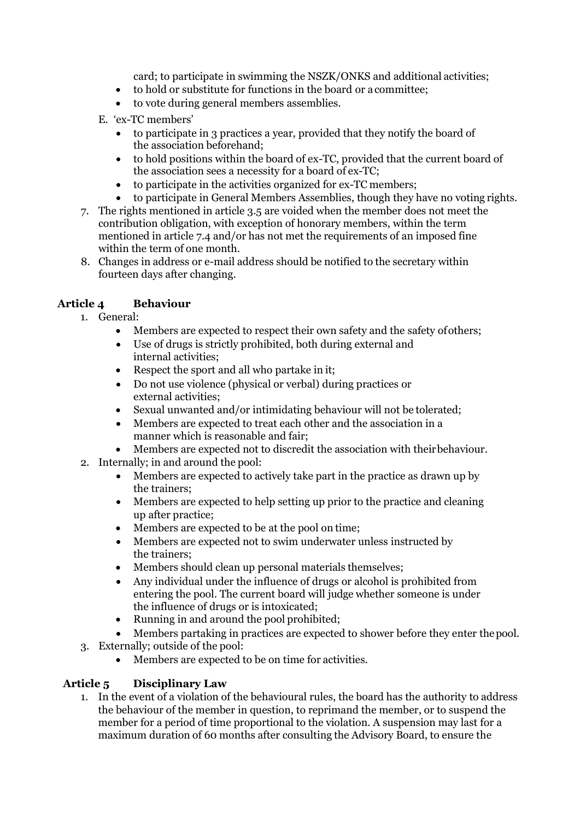card; to participate in swimming the NSZK/ONKS and additional activities;

- to hold or substitute for functions in the board or a committee;
- to vote during general members assemblies.
- E. 'ex-TC members'
	- to participate in 3 practices a year, provided that they notify the board of the association beforehand;
	- to hold positions within the board of ex-TC, provided that the current board of the association sees a necessity for a board of ex-TC;
	- to participate in the activities organized for ex-TC members;
	- to participate in General Members Assemblies, though they have no voting rights.
- 7. The rights mentioned in article 3.5 are voided when the member does not meet the contribution obligation, with exception of honorary members, within the term mentioned in article 7.4 and/or has not met the requirements of an imposed fine within the term of one month.
- 8. Changes in address or e-mail address should be notified to the secretary within fourteen days after changing.

# **Article 4 Behaviour**

- 1. General:
	- Members are expected to respect their own safety and the safety of others;
	- Use of drugs is strictly prohibited, both during external and internal activities;
	- Respect the sport and all who partake in it;
	- Do not use violence (physical or verbal) during practices or external activities;
	- Sexual unwanted and/or intimidating behaviour will not be tolerated;
	- Members are expected to treat each other and the association in a manner which is reasonable and fair;
	- Members are expected not to discredit the association with their behaviour.
- 2. Internally; in and around the pool:
	- Members are expected to actively take part in the practice as drawn up by the trainers;
	- Members are expected to help setting up prior to the practice and cleaning up after practice;
	- Members are expected to be at the pool on time;
	- Members are expected not to swim underwater unless instructed by the trainers;
	- Members should clean up personal materials themselves;
	- Any individual under the influence of drugs or alcohol is prohibited from entering the pool. The current board will judge whether someone is under the influence of drugs or is intoxicated;
	- Running in and around the pool prohibited;
	- Members partaking in practices are expected to shower before they enter thepool.
- 3. Externally; outside of the pool:
	- Members are expected to be on time for activities.

# **Article 5 Disciplinary Law**

1. In the event of a violation of the behavioural rules, the board has the authority to address the behaviour of the member in question, to reprimand the member, or to suspend the member for a period of time proportional to the violation. A suspension may last for a maximum duration of 60 months after consulting the Advisory Board, to ensure the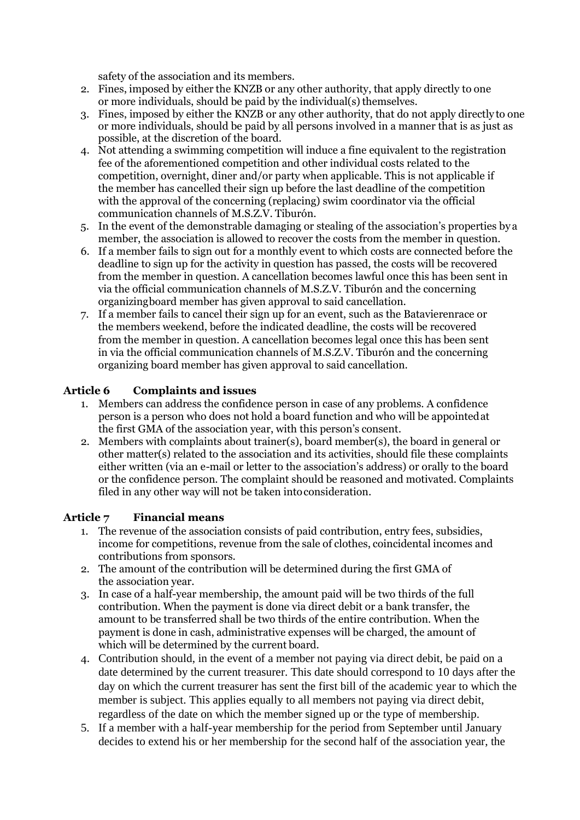safety of the association and its members.

- 2. Fines, imposed by either the KNZB or any other authority, that apply directly to one or more individuals, should be paid by the individual(s) themselves.
- 3. Fines, imposed by either the KNZB or any other authority, that do not apply directly to one or more individuals, should be paid by all persons involved in a manner that is as just as possible, at the discretion of the board.
- 4. Not attending a swimming competition will induce a fine equivalent to the registration fee of the aforementioned competition and other individual costs related to the competition, overnight, diner and/or party when applicable. This is not applicable if the member has cancelled their sign up before the last deadline of the competition with the approval of the concerning (replacing) swim coordinator via the official communication channels of M.S.Z.V. Tiburón.
- 5. In the event of the demonstrable damaging or stealing of the association's properties by a member, the association is allowed to recover the costs from the member in question.
- 6. If a member fails to sign out for a monthly event to which costs are connected before the deadline to sign up for the activity in question has passed, the costs will be recovered from the member in question. A cancellation becomes lawful once this has been sent in via the official communication channels of M.S.Z.V. Tiburón and the concerning organizingboard member has given approval to said cancellation.
- 7. If a member fails to cancel their sign up for an event, such as the Batavierenrace or the members weekend, before the indicated deadline, the costs will be recovered from the member in question. A cancellation becomes legal once this has been sent in via the official communication channels of M.S.Z.V. Tiburón and the concerning organizing board member has given approval to said cancellation.

# **Article 6 Complaints and issues**

- 1. Members can address the confidence person in case of any problems. A confidence person is a person who does not hold a board function and who will be appointedat the first GMA of the association year, with this person's consent.
- 2. Members with complaints about trainer(s), board member(s), the board in general or other matter(s) related to the association and its activities, should file these complaints either written (via an e-mail or letter to the association's address) or orally to the board or the confidence person. The complaint should be reasoned and motivated. Complaints filed in any other way will not be taken intoconsideration.

#### **Article 7 Financial means**

- 1. The revenue of the association consists of paid contribution, entry fees, subsidies, income for competitions, revenue from the sale of clothes, coincidental incomes and contributions from sponsors.
- 2. The amount of the contribution will be determined during the first GMA of the association year.
- 3. In case of a half-year membership, the amount paid will be two thirds of the full contribution. When the payment is done via direct debit or a bank transfer, the amount to be transferred shall be two thirds of the entire contribution. When the payment is done in cash, administrative expenses will be charged, the amount of which will be determined by the current board.
- 4. Contribution should, in the event of a member not paying via direct debit, be paid on a date determined by the current treasurer. This date should correspond to 10 days after the day on which the current treasurer has sent the first bill of the academic year to which the member is subject. This applies equally to all members not paying via direct debit, regardless of the date on which the member signed up or the type of membership.
- 5. If a member with a half-year membership for the period from September until January decides to extend his or her membership for the second half of the association year, the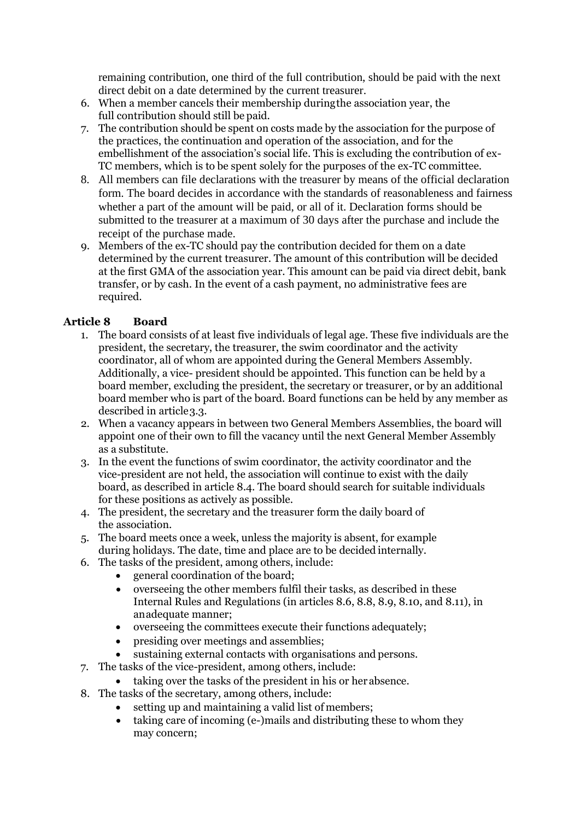remaining contribution, one third of the full contribution, should be paid with the next direct debit on a date determined by the current treasurer.

- 6. When a member cancels their membership duringthe association year, the full contribution should still be paid.
- 7. The contribution should be spent on costs made by the association for the purpose of the practices, the continuation and operation of the association, and for the embellishment of the association's social life. This is excluding the contribution of ex-TC members, which is to be spent solely for the purposes of the ex-TC committee.
- 8. All members can file declarations with the treasurer by means of the official declaration form. The board decides in accordance with the standards of reasonableness and fairness whether a part of the amount will be paid, or all of it. Declaration forms should be submitted to the treasurer at a maximum of 30 days after the purchase and include the receipt of the purchase made.
- 9. Members of the ex-TC should pay the contribution decided for them on a date determined by the current treasurer. The amount of this contribution will be decided at the first GMA of the association year. This amount can be paid via direct debit, bank transfer, or by cash. In the event of a cash payment, no administrative fees are required.

# **Article 8 Board**

- 1. The board consists of at least five individuals of legal age. These five individuals are the president, the secretary, the treasurer, the swim coordinator and the activity coordinator, all of whom are appointed during the General Members Assembly. Additionally, a vice- president should be appointed. This function can be held by a board member, excluding the president, the secretary or treasurer, or by an additional board member who is part of the board. Board functions can be held by any member as described in article 3.3.
- 2. When a vacancy appears in between two General Members Assemblies, the board will appoint one of their own to fill the vacancy until the next General Member Assembly as a substitute.
- 3. In the event the functions of swim coordinator, the activity coordinator and the vice-president are not held, the association will continue to exist with the daily board, as described in article 8.4. The board should search for suitable individuals for these positions as actively as possible.
- 4. The president, the secretary and the treasurer form the daily board of the association.
- 5. The board meets once a week, unless the majority is absent, for example during holidays. The date, time and place are to be decided internally.
- 6. The tasks of the president, among others, include:
	- general coordination of the board;
	- overseeing the other members fulfil their tasks, as described in these Internal Rules and Regulations (in articles 8.6, 8.8, 8.9, 8.10, and 8.11), in anadequate manner;
	- overseeing the committees execute their functions adequately;
	- presiding over meetings and assemblies;
	- sustaining external contacts with organisations and persons.
- 7. The tasks of the vice-president, among others, include:
	- taking over the tasks of the president in his or herabsence.
- 8. The tasks of the secretary, among others, include:
	- setting up and maintaining a valid list of members;
	- taking care of incoming (e-)mails and distributing these to whom they may concern;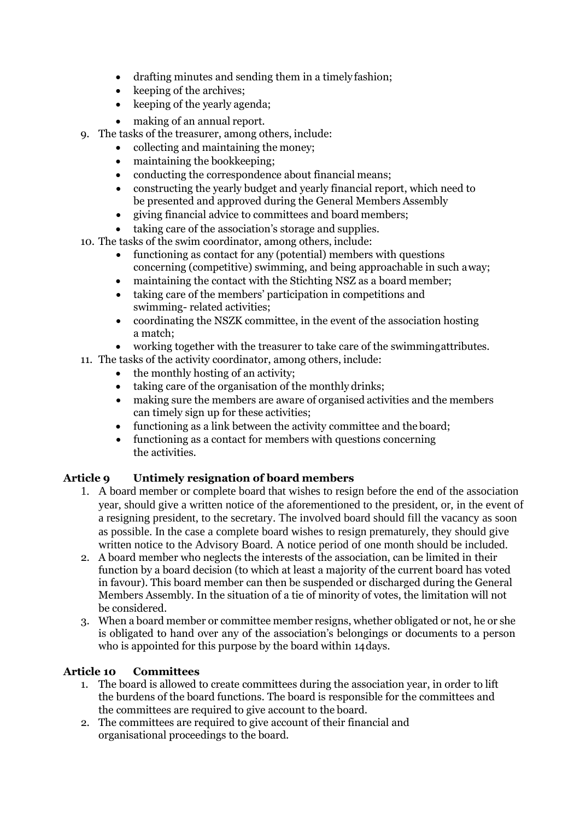- drafting minutes and sending them in a timely fashion;
- keeping of the archives:
- keeping of the yearly agenda;
- making of an annual report.
- 9. The tasks of the treasurer, among others, include:
	- collecting and maintaining the money;
	- maintaining the bookkeeping;
	- conducting the correspondence about financial means;
	- constructing the yearly budget and yearly financial report, which need to be presented and approved during the General Members Assembly
	- giving financial advice to committees and board members;
	- taking care of the association's storage and supplies.
- 10. The tasks of the swim coordinator, among others, include:
	- functioning as contact for any (potential) members with questions concerning (competitive) swimming, and being approachable in such away;
	- maintaining the contact with the Stichting NSZ as a board member;
	- taking care of the members' participation in competitions and swimming- related activities;
	- coordinating the NSZK committee, in the event of the association hosting a match;
	- working together with the treasurer to take care of the swimmingattributes.
- 11. The tasks of the activity coordinator, among others, include:
	- the monthly hosting of an activity;
	- taking care of the organisation of the monthly drinks;
	- making sure the members are aware of organised activities and the members can timely sign up for these activities;
	- functioning as a link between the activity committee and the board;
	- functioning as a contact for members with questions concerning the activities.

#### **Article 9 Untimely resignation of board members**

- 1. A board member or complete board that wishes to resign before the end of the association year, should give a written notice of the aforementioned to the president, or, in the event of a resigning president, to the secretary. The involved board should fill the vacancy as soon as possible. In the case a complete board wishes to resign prematurely, they should give written notice to the Advisory Board. A notice period of one month should be included.
- 2. A board member who neglects the interests of the association, can be limited in their function by a board decision (to which at least a majority of the current board has voted in favour). This board member can then be suspended or discharged during the General Members Assembly. In the situation of a tie of minority of votes, the limitation will not be considered.
- 3. When a board member or committee member resigns, whether obligated or not, he or she is obligated to hand over any of the association's belongings or documents to a person who is appointed for this purpose by the board within 14days.

#### **Article 10 Committees**

- 1. The board is allowed to create committees during the association year, in order to lift the burdens of the board functions. The board is responsible for the committees and the committees are required to give account to the board.
- 2. The committees are required to give account of their financial and organisational proceedings to the board.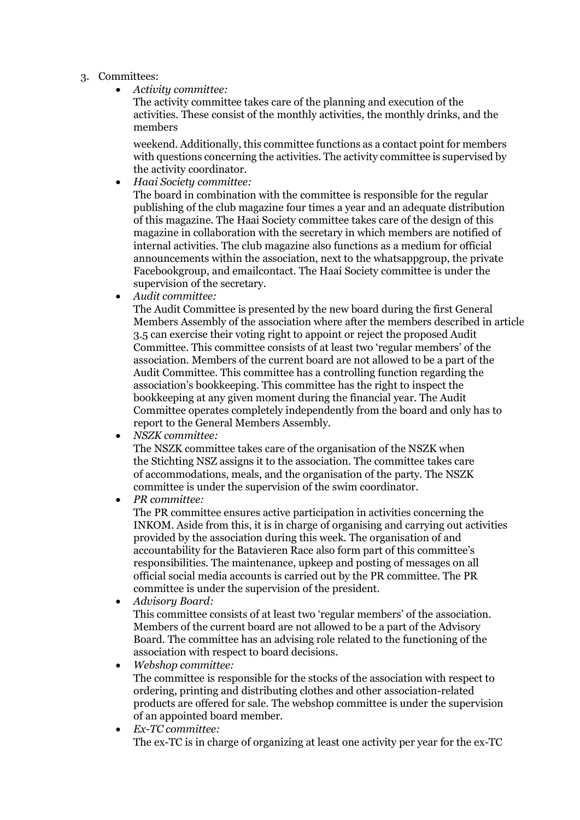#### 3. Committees:

• *Activity committee:*

The activity committee takes care of the planning and execution of the activities. These consist of the monthly activities, the monthly drinks, and the members

weekend. Additionally, this committee functions as a contact point for members with questions concerning the activities. The activity committee is supervised by the activity coordinator.

• *Haai Society committee:*

The board in combination with the committee is responsible for the regular publishing of the club magazine four times a year and an adequate distribution of this magazine. The Haai Society committee takes care of the design of this magazine in collaboration with the secretary in which members are notified of internal activities. The club magazine also functions as a medium for official announcements within the association, next to the whatsappgroup, the private Facebookgroup, and emailcontact. The Haai Society committee is under the supervision of the secretary.

• *Audit committee:*

The Audit Committee is presented by the new board during the first General Members Assembly of the association where after the members described in article 3.5 can exercise their voting right to appoint or reject the proposed Audit Committee. This committee consists of at least two 'regular members' of the association. Members of the current board are not allowed to be a part of the Audit Committee. This committee has a controlling function regarding the association's bookkeeping. This committee has the right to inspect the bookkeeping at any given moment during the financial year. The Audit Committee operates completely independently from the board and only has to report to the General Members Assembly.

• *NSZK committee:*

The NSZK committee takes care of the organisation of the NSZK when the Stichting NSZ assigns it to the association. The committee takes care of accommodations, meals, and the organisation of the party. The NSZK committee is under the supervision of the swim coordinator.

• *PR committee:*

The PR committee ensures active participation in activities concerning the INKOM. Aside from this, it is in charge of organising and carrying out activities provided by the association during this week. The organisation of and accountability for the Batavieren Race also form part of this committee's responsibilities. The maintenance, upkeep and posting of messages on all official social media accounts is carried out by the PR committee. The PR committee is under the supervision of the president.

• *Advisory Board:*

This committee consists of at least two 'regular members' of the association. Members of the current board are not allowed to be a part of the Advisory Board. The committee has an advising role related to the functioning of the association with respect to board decisions.

- *Webshop committee:* The committee is responsible for the stocks of the association with respect to ordering, printing and distributing clothes and other association-related products are offered for sale. The webshop committee is under the supervision of an appointed board member.
- *Ex-TC committee:* The ex-TC is in charge of organizing at least one activity per year for the ex-TC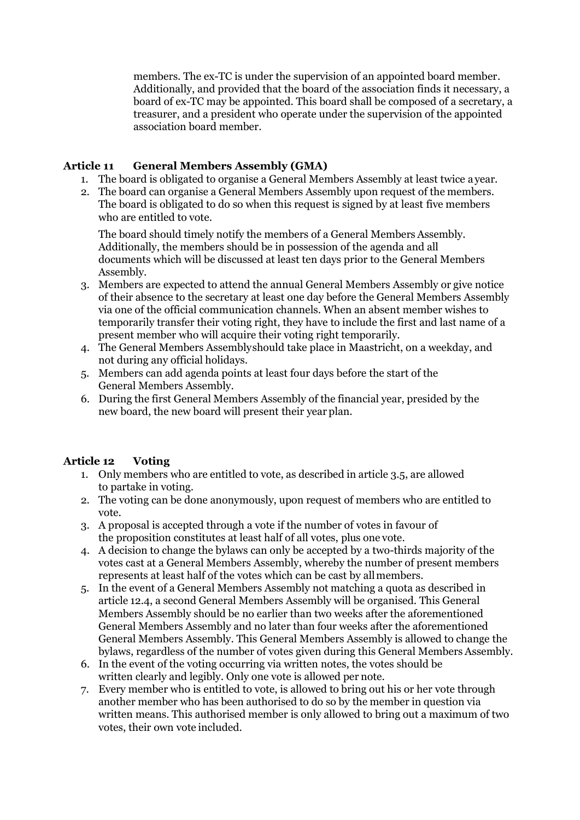members. The ex-TC is under the supervision of an appointed board member. Additionally, and provided that the board of the association finds it necessary, a board of ex-TC may be appointed. This board shall be composed of a secretary, a treasurer, and a president who operate under the supervision of the appointed association board member.

#### **Article 11 General Members Assembly (GMA)**

- 1. The board is obligated to organise a General Members Assembly at least twice a year.
- 2. The board can organise a General Members Assembly upon request of the members. The board is obligated to do so when this request is signed by at least five members who are entitled to vote.

The board should timely notify the members of a General Members Assembly. Additionally, the members should be in possession of the agenda and all documents which will be discussed at least ten days prior to the General Members Assembly.

- 3. Members are expected to attend the annual General Members Assembly or give notice of their absence to the secretary at least one day before the General Members Assembly via one of the official communication channels. When an absent member wishes to temporarily transfer their voting right, they have to include the first and last name of a present member who will acquire their voting right temporarily.
- 4. The General Members Assemblyshould take place in Maastricht, on a weekday, and not during any official holidays.
- 5. Members can add agenda points at least four days before the start of the General Members Assembly.
- 6. During the first General Members Assembly of the financial year, presided by the new board, the new board will present their year plan.

#### **Article 12 Voting**

- 1. Only members who are entitled to vote, as described in article 3.5, are allowed to partake in voting.
- 2. The voting can be done anonymously, upon request of members who are entitled to vote.
- 3. A proposal is accepted through a vote if the number of votes in favour of the proposition constitutes at least half of all votes, plus one vote.
- 4. A decision to change the bylaws can only be accepted by a two-thirds majority of the votes cast at a General Members Assembly, whereby the number of present members represents at least half of the votes which can be cast by allmembers.
- 5. In the event of a General Members Assembly not matching a quota as described in article 12.4, a second General Members Assembly will be organised. This General Members Assembly should be no earlier than two weeks after the aforementioned General Members Assembly and no later than four weeks after the aforementioned General Members Assembly. This General Members Assembly is allowed to change the bylaws, regardless of the number of votes given during this General Members Assembly.
- 6. In the event of the voting occurring via written notes, the votes should be written clearly and legibly. Only one vote is allowed per note.
- 7. Every member who is entitled to vote, is allowed to bring out his or her vote through another member who has been authorised to do so by the member in question via written means. This authorised member is only allowed to bring out a maximum of two votes, their own vote included.